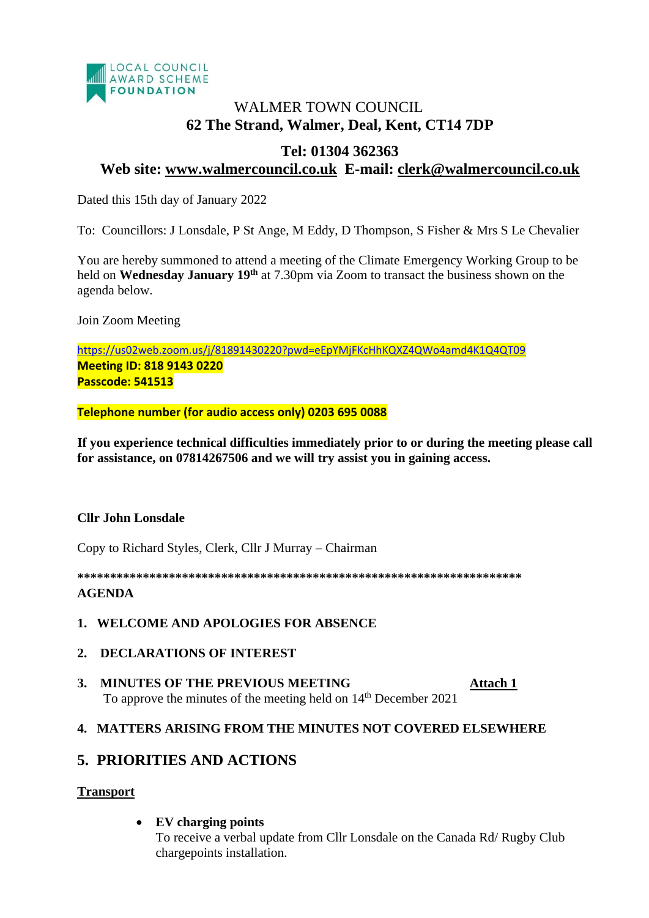

# WALMER TOWN COUNCIL. **62 The Strand, Walmer, Deal, Kent, CT14 7DP**

## **Tel: 01304 362363**

## **Web site: [www.walmercouncil.co.uk](http://www.walmercouncil.co.uk/) E-mail: clerk@walmercouncil.co.uk**

Dated this 15th day of January 2022

To: Councillors: J Lonsdale, P St Ange, M Eddy, D Thompson, S Fisher & Mrs S Le Chevalier

You are hereby summoned to attend a meeting of the Climate Emergency Working Group to be held on **Wednesday January 19th** at 7.30pm via Zoom to transact the business shown on the agenda below.

Join Zoom Meeting

<https://us02web.zoom.us/j/81891430220?pwd=eEpYMjFKcHhKQXZ4QWo4amd4K1Q4QT09> **Meeting ID: 818 9143 0220 Passcode: 541513**

**Telephone number (for audio access only) 0203 695 0088**

**If you experience technical difficulties immediately prior to or during the meeting please call for assistance, on 07814267506 and we will try assist you in gaining access.**

## **Cllr John Lonsdale**

Copy to Richard Styles, Clerk, Cllr J Murray – Chairman

**\*\*\*\*\*\*\*\*\*\*\*\*\*\*\*\*\*\*\*\*\*\*\*\*\*\*\*\*\*\*\*\*\*\*\*\*\*\*\*\*\*\*\*\*\*\*\*\*\*\*\*\*\*\*\*\*\*\*\*\*\*\*\*\*\*\*\*\* AGENDA**

#### **1. WELCOME AND APOLOGIES FOR ABSENCE**

- **2. DECLARATIONS OF INTEREST**
- **3. MINUTES OF THE PREVIOUS MEETING [Attach 1](https://walmerpc.sharepoint.com/Shared%20Documents/Shared/Climate%20Emergency%20Working%20Group/Minutes/CEWG%2023%20June%202020%20Minutes.docx)** To approve the minutes of the meeting held on  $14<sup>th</sup>$  December 2021

## **4. MATTERS ARISING FROM THE MINUTES NOT COVERED ELSEWHERE**

## **5. PRIORITIES AND ACTIONS**

## **Transport**

• **EV charging points**

To receive a verbal update from Cllr Lonsdale on the Canada Rd/ Rugby Club chargepoints installation.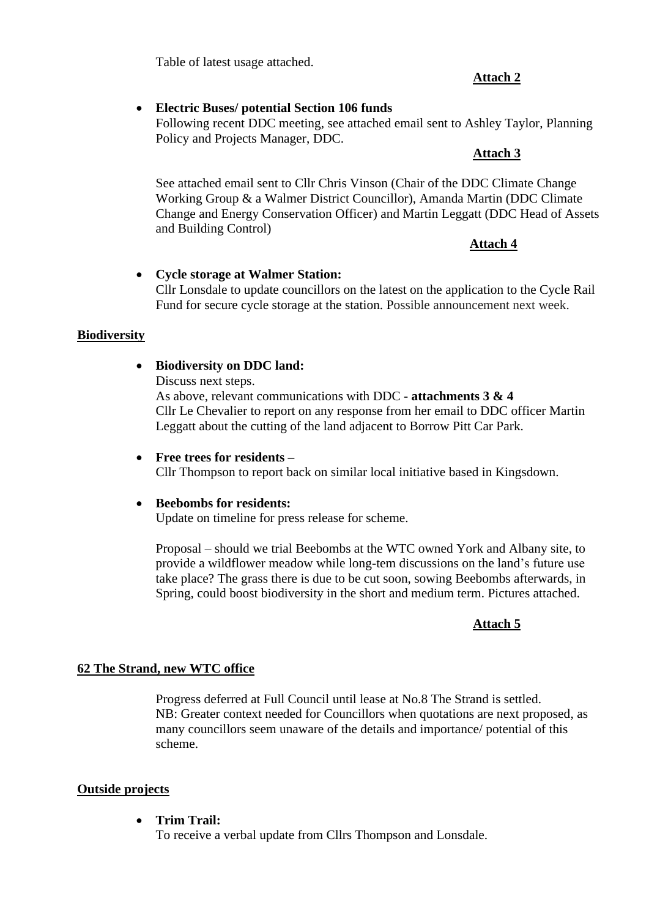Table of latest usage attached.

### **Attach 2**

### • **Electric Buses/ potential Section 106 funds**

Following recent DDC meeting, see attached email sent to Ashley Taylor, Planning Policy and Projects Manager, DDC.

#### **Attach 3**

See attached email sent to Cllr Chris Vinson (Chair of the DDC Climate Change Working Group & a Walmer District Councillor), Amanda Martin (DDC Climate Change and Energy Conservation Officer) and Martin Leggatt (DDC Head of Assets and Building Control)

## **Attach 4**

#### • **Cycle storage at Walmer Station:** Cllr Lonsdale to update councillors on the latest on the application to the Cycle Rail Fund for secure cycle storage at the station. Possible announcement next week.

## **Biodiversity**

## • **Biodiversity on DDC land:**

Discuss next steps.

As above, relevant communications with DDC - **attachments 3 & 4** Cllr Le Chevalier to report on any response from her email to DDC officer Martin Leggatt about the cutting of the land adjacent to Borrow Pitt Car Park.

#### • **Free trees for residents –**

Cllr Thompson to report back on similar local initiative based in Kingsdown.

#### • **Beebombs for residents:**

Update on timeline for press release for scheme.

Proposal – should we trial Beebombs at the WTC owned York and Albany site, to provide a wildflower meadow while long-tem discussions on the land's future use take place? The grass there is due to be cut soon, sowing Beebombs afterwards, in Spring, could boost biodiversity in the short and medium term. Pictures attached.

## **Attach 5**

## **62 The Strand, new WTC office**

Progress deferred at Full Council until lease at No.8 The Strand is settled. NB: Greater context needed for Councillors when quotations are next proposed, as many councillors seem unaware of the details and importance/ potential of this scheme.

#### **Outside projects**

• **Trim Trail:**

To receive a verbal update from Cllrs Thompson and Lonsdale.